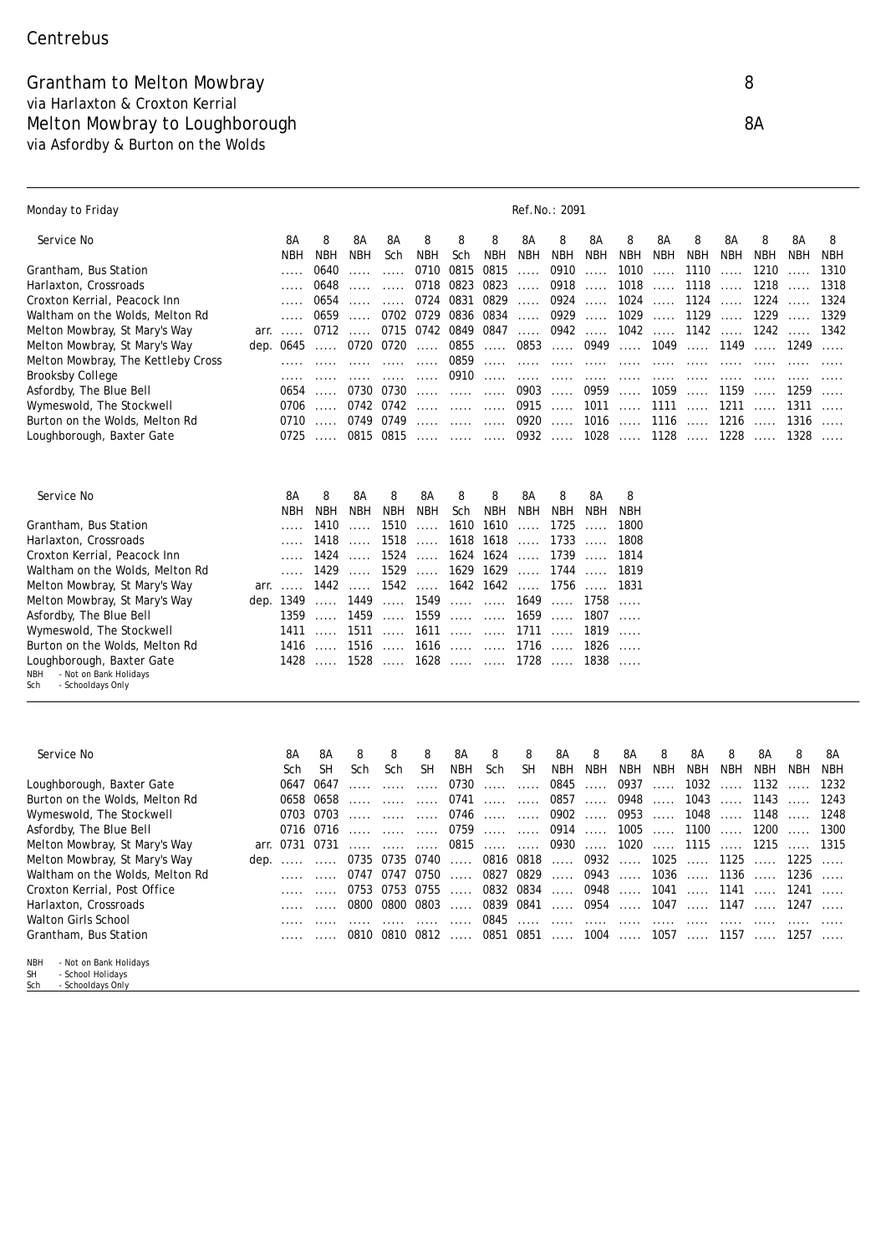## Grantham to Melton Mowbray 8 via Harlaxton & Croxton Kerrial Melton Mowbray to Loughborough 8A via Asfordby & Burton on the Wolds

| Monday to Friday                                                                                   |      |                |                               |                          |                        |                                                                                         |                                        |                          |                          | Ref.No.: 2091                                                         |                          |                                                   |                          |                        |                          |               |                          |                     |
|----------------------------------------------------------------------------------------------------|------|----------------|-------------------------------|--------------------------|------------------------|-----------------------------------------------------------------------------------------|----------------------------------------|--------------------------|--------------------------|-----------------------------------------------------------------------|--------------------------|---------------------------------------------------|--------------------------|------------------------|--------------------------|---------------|--------------------------|---------------------|
| Service No                                                                                         |      | 8Α             | 8                             | 8A                       | 8A                     | 8                                                                                       | 8                                      | 8                        | 8Α                       | 8                                                                     | 8A                       | 8                                                 | 8Α                       | 8                      | 8Α                       | 8             | 8Α                       | 8                   |
| Grantham, Bus Station                                                                              |      | NBH            | <b>NBH</b><br>0640            | <b>NBH</b>               | Sch<br>1.1.1           | <b>NBH</b><br>0710                                                                      | Sch<br>0815                            | <b>NBH</b><br>0815       | <b>NBH</b>               | <b>NBH</b><br>0910                                                    | <b>NBH</b>               | <b>NBH</b><br>1010                                | <b>NBH</b>               | <b>NBH</b><br>1110     | NBH                      | NBH<br>1210   | <b>NBH</b>               | <b>NBH</b><br>1310  |
| Harlaxton, Crossroads                                                                              |      |                | 0648                          | .<br>.                   | $\ldots$ .             | 0718                                                                                    | 0823 0823                              |                          | . <b>.</b><br>$\ldots$ . | 0918                                                                  | $\ldots$ .<br>$\ldots$ . | 1018                                              | $\ldots$ .<br>$\ldots$ . | 1118                   | .<br>$\ldots$ .          | 1218          | $\ldots$ .<br>$\ldots$ . | 1318                |
| Croxton Kerrial, Peacock Inn                                                                       |      |                | 0654                          | .                        | $\ldots$ .             |                                                                                         | 0724 0831 0829                         |                          | $\ldots$ .               | 0924                                                                  | $\ldots$ .               | 1024                                              | .                        | 1124                   | .                        | 1224          | $\ldots$ .               | 1324                |
| Waltham on the Wolds, Melton Rd                                                                    |      |                | 0659                          | $\ldots$ .               |                        | 0702 0729 0836 0834                                                                     |                                        |                          | $\ldots$ .               | 0929                                                                  | $\ldots$ .               | 1029                                              | $\ldots$ .               | 1129                   | $\sim 1.1\, \mathrm{m}$  | 1229          | $\sim 1.1$ , $\sim$      | 1329                |
| Melton Mowbray, St Mary's Way                                                                      |      | $arr. \ldots$  |                               | $0712$                   |                        | 0715 0742 0849 0847                                                                     |                                        |                          | $\ldots$ .               | 0942                                                                  | $\sim 1.1\, \mathrm{m}$  | $1042$                                            |                          | $1142$                 |                          | $1242$        |                          | 1342                |
| Melton Mowbray, St Mary's Way                                                                      |      | dep. 0645      | <b>.</b> .                    | 0720 0720                |                        | $\mathcal{L}_{\mathcal{A}}$ , $\mathcal{L}_{\mathcal{A}}$ , $\mathcal{L}_{\mathcal{A}}$ | 0855                                   | $\ldots$ . $\ldots$      | 0853                     |                                                                       | $\ldots$ . 0949          |                                                   | $\ldots$ . 1049          |                        | 1149                     | 1249          |                          |                     |
| Melton Mowbray, The Kettleby Cross                                                                 |      |                |                               | 1.1.1.1                  | $\sim 1.1$ . $\sim$    | .                                                                                       | 0859                                   | $\ldots$ .               |                          | $\begin{array}{cccccccccc} . & . & . & . & . & . & . & . \end{array}$ |                          |                                                   |                          |                        |                          |               |                          |                     |
| Brooksby College                                                                                   |      |                |                               |                          |                        |                                                                                         | 0910                                   |                          |                          |                                                                       |                          |                                                   | <b>Service</b>           |                        |                          |               |                          |                     |
| Asfordby, The Blue Bell                                                                            |      | 0654<br>0706   |                               |                          | 0730 0730<br>0742 0742 |                                                                                         |                                        |                          | 0903                     | $\sim$                                                                | 0959                     | $\sim$                                            | 1059                     |                        | $\ldots$ . 1159          | $\ldots$ 1259 |                          |                     |
| Wymeswold, The Stockwell<br>Burton on the Wolds, Melton Rd                                         |      | 0710           | $\sim$                        | 0749 0749                |                        |                                                                                         |                                        |                          | 0920                     | $0915$<br>$\sim$                                                      | 1011<br>1016             | $\sim$<br>$\sim$                                  | 1111<br>1116             | $\ldots$ .<br>$\ldots$ | 1211<br>1216             | 1316          | 1311                     | $\sim$              |
| Loughborough, Baxter Gate                                                                          |      | 0725           | $\sim 1.1\, \mathrm{m}^{-1}$  |                          | 0815 0815              |                                                                                         |                                        |                          | 0932                     |                                                                       | 1028                     | $\sim$                                            |                          | $1128$ 1228            |                          | $\sim$        | 1328                     |                     |
|                                                                                                    |      |                |                               |                          |                        |                                                                                         |                                        |                          |                          |                                                                       |                          |                                                   |                          |                        |                          |               |                          |                     |
| Service No                                                                                         |      | 8Α             | 8                             | 8A                       | 8                      | 8A                                                                                      | 8                                      | 8                        | 8Α                       | 8                                                                     | 8Α                       | 8                                                 |                          |                        |                          |               |                          |                     |
| Grantham, Bus Station                                                                              |      | <b>NBH</b>     | NBH<br>1410                   | <b>NBH</b>               | <b>NBH</b>             | <b>NBH</b>                                                                              | Sch                                    | <b>NBH</b>               | NBH                      | <b>NBH</b>                                                            | <b>NBH</b>               | <b>NBH</b>                                        |                          |                        |                          |               |                          |                     |
| Harlaxton, Crossroads                                                                              |      |                | 1418                          | $\ldots$ .<br>$\ldots$ . | 1510<br>1518           | $\ldots$ .<br>$\ldots$ .                                                                |                                        | 1610 1610<br>1618 1618   | $\ldots$ .<br>$\ldots$   | 1725<br>1733                                                          | $\ldots$ .<br>$\ldots$ . | 1800<br>1808                                      |                          |                        |                          |               |                          |                     |
| Croxton Kerrial, Peacock Inn                                                                       |      |                | 1424                          | $\ldots$ .               | 1524                   | $\ldots$ . $\ldots$                                                                     |                                        | 1624 1624                | $\ldots$ .               | 1739                                                                  | $\ldots$ .               | 1814                                              |                          |                        |                          |               |                          |                     |
| Waltham on the Wolds, Melton Rd                                                                    |      | .              | 1429                          | $\ldots$ .               | 1529                   | $\ldots$ .                                                                              |                                        | 1629 1629                | $\ldots$                 | 1744                                                                  | $\ldots$ .               | 1819                                              |                          |                        |                          |               |                          |                     |
| Melton Mowbray, St Mary's Way                                                                      |      | $arr. \ldots$  |                               | $1442$                   |                        | $1542$                                                                                  |                                        | 1642 1642                | $\sim 1.1\, \mathrm{m}$  | 1756                                                                  | $\sim$                   | 1831                                              |                          |                        |                          |               |                          |                     |
| Melton Mowbray, St Mary's Way                                                                      |      | dep. 1349      | $\ldots$ .                    | 1449                     |                        | $\ldots$ . 1549                                                                         |                                        | 1649                     |                          | $\mathbb{R}^2$ . In the $\mathbb{R}^2$                                | 1758                     | $\ldots$ .                                        |                          |                        |                          |               |                          |                     |
| Asfordby, The Blue Bell                                                                            |      | 1359           | $\sim 1.1$ .                  | 1459                     | $\sim 1.1\, \rm{km}$   | 1559                                                                                    |                                        |                          | 1659                     | $\ldots$ .                                                            | 1807                     | $\ldots$ .                                        |                          |                        |                          |               |                          |                     |
| Wymeswold, The Stockwell                                                                           |      | 1411           | 1.1.1.1                       | 1511                     | 1.1.1.1                | 1611                                                                                    |                                        |                          | 1711                     | 1.1.1.1                                                               | 1819                     | $\ldots$ .                                        |                          |                        |                          |               |                          |                     |
| Burton on the Wolds, Melton Rd                                                                     |      | 1416           | 1516  1616   1716             |                          |                        |                                                                                         |                                        |                          |                          |                                                                       | 1826                     | $\ldots$ .                                        |                          |                        |                          |               |                          |                     |
| Loughborough, Baxter Gate<br>- Not on Bank Holidays<br>NBH<br>- Schooldays Only<br>Sch             |      |                | 1428  1528  1628   1728  1838 |                          |                        |                                                                                         |                                        |                          |                          |                                                                       |                          |                                                   |                          |                        |                          |               |                          |                     |
|                                                                                                    |      |                |                               |                          |                        |                                                                                         |                                        |                          |                          |                                                                       |                          |                                                   |                          |                        |                          |               |                          |                     |
| Service No                                                                                         |      | 8Α             | 8Α                            | 8                        | 8                      | 8                                                                                       | 8Α                                     | 8                        | 8                        | 8A                                                                    | 8                        | 8Α                                                | 8                        | 8Α                     | 8                        | 8A            | 8                        | 8А                  |
|                                                                                                    |      | Sch<br>0647    | <b>SH</b><br>0647             | Sch                      | Sch                    | SH                                                                                      | <b>NBH</b><br>0730                     | Sch                      | <b>SH</b>                | <b>NBH</b><br>0845                                                    | <b>NBH</b>               | <b>NBH</b><br>0937                                | <b>NBH</b>               | <b>NBH</b><br>1032     | <b>NBH</b>               | NBH<br>1132   | <b>NBH</b>               | <b>NBH</b><br>1232  |
| Loughborough, Baxter Gate<br>Burton on the Wolds, Melton Rd                                        |      | 0658           | 0658                          | .<br>.                   | $\ldots$ .<br>1.1.1.1  | .<br>.                                                                                  | 0741                                   | $\ldots$ .<br>$\ldots$ . | $\ldots$<br>$\ldots$ .   | 0857                                                                  | $\ldots$ .<br>$\ldots$ . | 0948                                              | $\ldots$ .<br>$\ldots$ . | 1043                   | $\ldots$ .<br>$\ldots$ . | 1143          | $\ldots$ .<br>$\ldots$ . | 1243                |
| Wymeswold, The Stockwell                                                                           |      |                | 0703 0703                     | .                        |                        |                                                                                         | 0746                                   | $\ldots$ .               | $\ldots$                 | 0902                                                                  | $\ldots$ .               | 0953                                              | $\ldots$ .               | 1048                   | $\ldots$ .               | 1148          |                          | 1248                |
| Asfordby, The Blue Bell                                                                            |      | 0716           | 0716                          | $\ldots$ .               |                        | $\ldots$ .                                                                              | 0759                                   | $\ldots$ .               | $\ldots$ .               | 0914                                                                  | $\ldots$ .               | 1005                                              | $\ldots$ .               | 1100                   | $\ldots$ .               | 1200          | $\ldots$ .               | 1300                |
| Melton Mowbray, St Mary's Way                                                                      |      | arr. 0731 0731 |                               | $\ldots$ .               | $\sim 1.1$ .           | $\cdots$                                                                                | 0815                                   |                          | <b>Service Contract</b>  | $0930$                                                                |                          | $1020$                                            |                          | 1115                   |                          | 1215          |                          | 1315                |
| Melton Mowbray, St Mary's Way                                                                      | dep. |                |                               |                          |                        |                                                                                         |                                        |                          |                          |                                                                       |                          | 0735 0735 0740  0816 0818  0932  1025  1125  1225 |                          |                        |                          |               |                          | $\sim$              |
| Waltham on the Wolds, Melton Rd                                                                    |      |                | $\ldots$                      |                          |                        | $0747$ $0747$ $0750$                                                                    |                                        |                          | 0827 0829                |                                                                       |                          | 0943  1036  1136  1236                            |                          |                        |                          |               |                          | $\sim$              |
| Croxton Kerrial, Post Office                                                                       |      |                | .                             |                          | 0753 0753 0755         |                                                                                         | $\ldots$ .                             |                          | 0832 0834                | .                                                                     | 0948                     | $\ldots$ .                                        | 1041                     | $\ldots$ .             | 1141                     | 1241          |                          | $\ldots$ .          |
| Harlaxton, Crossroads                                                                              |      |                | $\ldots$ .                    |                          | 0800 0800 0803         |                                                                                         | $\mathbb{R}^2$ . In the $\mathbb{R}^2$ | 0839 0841                |                          | $\ldots$ .                                                            | 0954                     | $\ldots$ .                                        | 1047                     |                        |                          | 1147  1247    |                          | $\ldots$ .          |
| Walton Girls School                                                                                |      |                | $\ldots$ .                    | $\ldots$ .               |                        | $\ldots$ .                                                                              | $\sim$                                 | 0845                     | $\ldots$ . $\ldots$      | $\ldots$ .                                                            | $\ldots$ .               | $\ldots$ .                                        | $\ldots$ . $\ldots$      | $\ldots$ .             |                          |               |                          |                     |
| Grantham, Bus Station                                                                              |      |                | $\ldots$ .                    |                          |                        | $0810$ $0810$ $0812$                                                                    |                                        |                          |                          |                                                                       |                          | 0851 0851  1004  1057  1157  1257                 |                          |                        |                          |               |                          | $\sim 1.1$ . $\sim$ |
| - Not on Bank Holidays<br><b>NBH</b><br>- School Holidays<br><b>SH</b><br>Sch<br>- Schooldays Only |      |                |                               |                          |                        |                                                                                         |                                        |                          |                          |                                                                       |                          |                                                   |                          |                        |                          |               |                          |                     |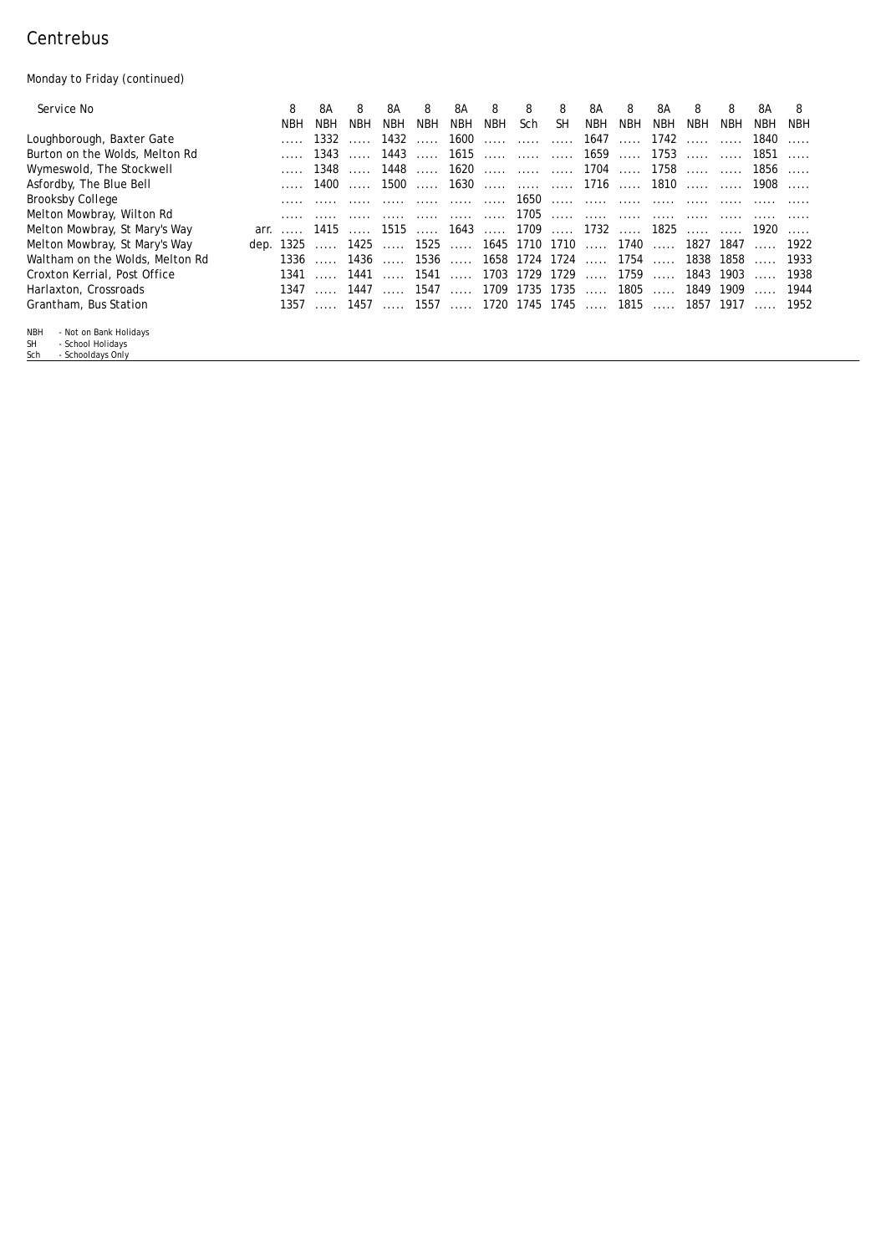## Centrebus

Monday to Friday (continued)

| <i>Service No</i>                                          | 8                                        | 8A         | 8          | 8A      | 8              | 8A         | 8          | 8                                | 8         | 8A         | 8          | 8А                                   | 8                                | 8   | 8А     | 8        |
|------------------------------------------------------------|------------------------------------------|------------|------------|---------|----------------|------------|------------|----------------------------------|-----------|------------|------------|--------------------------------------|----------------------------------|-----|--------|----------|
|                                                            | NBH                                      | <b>NBH</b> | <b>NBH</b> | NBH     | <b>NBH</b>     | <b>NBH</b> | <b>NBH</b> | Sch                              | <b>SH</b> | <b>NBH</b> | <b>NBH</b> | NBH                                  | NBH                              | NBH | NBH.   | NBH      |
| Loughborough, Baxter Gate                                  |                                          | 1332       |            | 1432    | <b>Service</b> | 1600       |            |                                  |           | 1647       | $\sim$     | $1742$                               |                                  |     | 1840   | $\ldots$ |
| Burton on the Wolds, Melton Rd                             |                                          | 1343       |            | 1443    |                |            |            | 1615    1659  1753               |           |            |            |                                      |                                  |     | $1851$ |          |
| Wymeswold, The Stockwell                                   |                                          | 1348       |            | 1448    | 1.1.1.1        |            |            | $1620$ 1704  1758                |           |            |            |                                      |                                  |     | 1856   |          |
| Asfordby, The Blue Bell                                    |                                          |            | 1400       |         |                |            |            | 1500  1630    1716  1810         |           |            |            |                                      |                                  |     | 1908   |          |
| Brooksby College                                           |                                          |            |            |         |                |            |            |                                  |           |            |            |                                      |                                  |     |        |          |
| Melton Mowbray, Wilton Rd                                  |                                          |            |            |         |                |            |            |                                  |           |            |            |                                      |                                  |     |        |          |
| Melton Mowbray, St Mary's Way                              | arr.  1415  1515  1643  1709  1732  1825 |            |            |         |                |            |            |                                  |           |            |            |                                      | <b><i>Charles Controller</i></b> |     | 1920   |          |
| Melton Mowbray, St Mary's Way                              | dep. 1325  1425  1525  1645 1710 1710    |            |            |         |                |            |            |                                  |           |            |            | 1740  1827 1847                      |                                  |     | . 1922 |          |
| Waltham on the Wolds, Melton Rd                            |                                          | 1336       | 1436       | 1.1.1.1 | 1536           | 1.1.1.1    |            | 1658 1724 1724                   |           |            | 1754       | $\ldots$                             | 1838 1858                        |     |        | . 1933   |
| Croxton Kerrial, Post Office                               | 1341                                     |            | 1441       |         | 1541           |            |            | $\dots$ . 1703 1729 1729         |           | 1.1.1.1    | 1759       | $\sim$                               | 1843 1903                        |     |        | 1938     |
| Harlaxton, Crossroads                                      |                                          | $1347$     | 1447       | $\sim$  |                |            |            | 1547  1709 1735 1735             |           | 1.1.1.1    | $1805$     |                                      | 1849 1909                        |     |        | 1944     |
| Grantham, Bus Station                                      |                                          |            |            |         |                |            |            | 1357  1457  1557  1720 1745 1745 |           |            |            | $\ldots$ , 1815 $\ldots$ , 1857 1917 |                                  |     | . 1952 |          |
| - Not on Bank Holidays<br><b>NBH</b>                       |                                          |            |            |         |                |            |            |                                  |           |            |            |                                      |                                  |     |        |          |
| <b>SH</b><br>- School Holidays<br>- Schooldays Only<br>Sch |                                          |            |            |         |                |            |            |                                  |           |            |            |                                      |                                  |     |        |          |